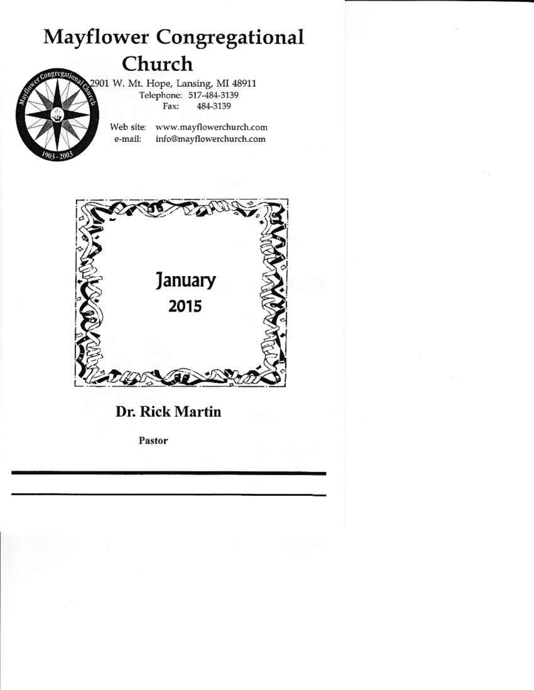## **Mayflower Congregational** Church



2901 W. Mt. Hope, Lansing, MI 48911 Telephone: 517-484-3139 Fax: 484-3139

> Web site: www.mayflowerchurch.com e-mail: info@mayflowerchurch.com



### Dr. Rick Martin

Pastor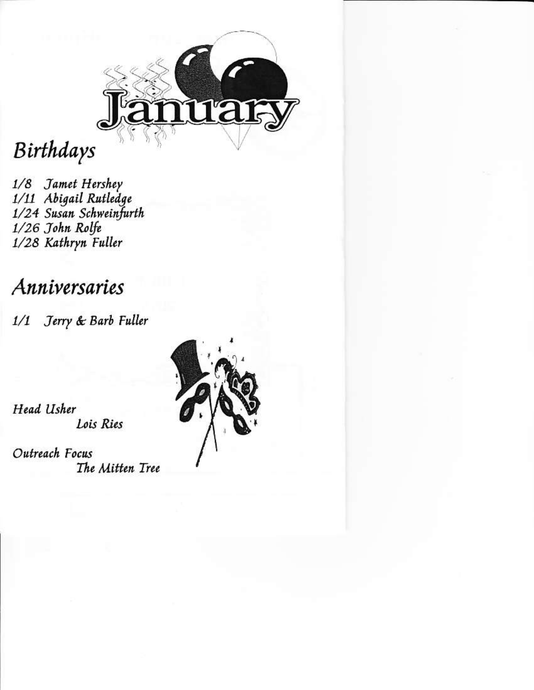

## Birthdays

1/8 Jamet Hershey 1/11 Abigail Rutledge 1/24 Susan Schweinfurth 1/26 John Rolfe 1/28 Kathryn Fuller

## Anniversaries

1/1 Jerry & Barb Fuller



Head Usher Lois Ries

Outreach Focus The Mitten Tree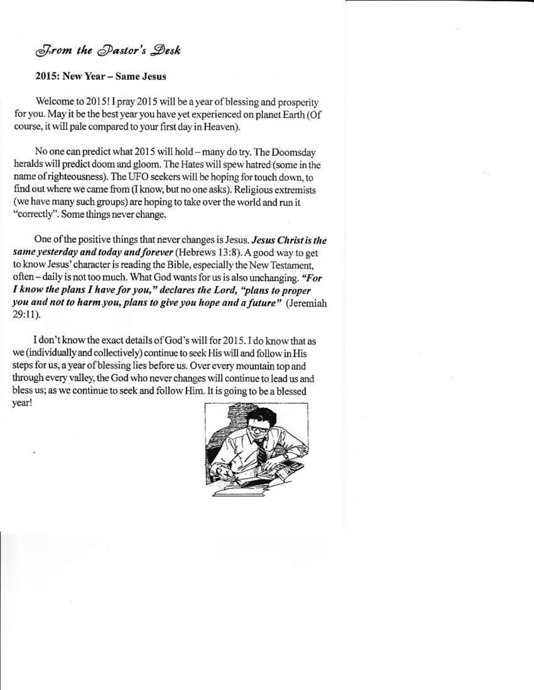From the Pastor's Desk

#### 2015: New Year - Same Jesus

Welcome to 2015! I pray 2015 will be a year of blessing and prosperity for you. May it be the best year you have yet experienced on planet Earth (Of course, it will pale compared to your first day in Heaven).

No one can predict what 2015 will hold - many do try. The Doomsday heralds will predict doom and gloom. The Hates will spew hatred (some in the name of righteousness). The UFO seekers will be hoping for touch down, to find out where we came from (I know, but no one asks). Religious extremists (we have many such groups) are hoping to take over the world and run it "correctly". Some things never change.

One of the positive things that never changes is Jesus. Jesus Christ is the same yesterday and today and forever (Hebrews 13:8). A good way to get to know Jesus' character is reading the Bible, especially the New Testament, often - daily is not too much. What God wants for us is also unchanging. "For I know the plans I have for you," declares the Lord, "plans to proper you and not to harm you, plans to give you hope and a future" (Jeremiah 29:11).

I don't know the exact details of God's will for 2015. I do know that as we (individually and collectively) continue to seek His will and follow in His steps for us, a year of blessing lies before us. Over every mountain top and through every valley, the God who never changes will continue to lead us and bless us; as we continue to seek and follow Him. It is going to be a blessed year!

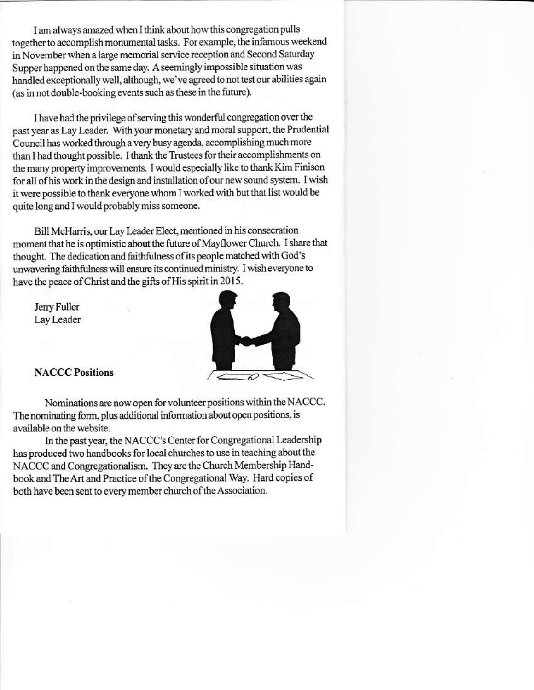I am always amazed when I think about how this congregation pulls together to accomplish monumental tasks. For example, the infamous weekend in November when a large memorial service reception and Second Saturday Supper happened on the same day. A seemingly impossible situation was handled exceptionally well, although, we've agreed to not test our abilities again (as in not double-booking events such as these in the future).

I have had the privilege of serving this wonderful congregation over the past year as Lay Leader. With your monetary and moral support, the Prudential Council has worked through a very busy agenda, accomplishing much more than I had thought possible. I thank the Trustees for their accomplishments on the many property improvements. I would especially like to thank Kim Finison for all of his work in the design and installation of our new sound system. I wish it were possible to thank everyone whom I worked with but that list would be quite long and I would probably miss someone.

Bill McHarris, our Lay Leader Elect, mentioned in his consecration moment that he is optimistic about the future of Mayflower Church. I share that thought. The dedication and faithfulness of its people matched with God's unwavering faithfulness will ensure its continued ministry. I wish everyone to have the peace of Christ and the gifts of His spirit in 2015.

Jerry Fuller Lay Leader



#### **NACCC Positions**

Nominations are now open for volunteer positions within the NACCC. The nominating form, plus additional information about open positions, is available on the website.

In the past year, the NACCC's Center for Congregational Leadership has produced two handbooks for local churches to use in teaching about the NACCC and Congregationalism. They are the Church Membership Handbook and The Art and Practice of the Congregational Way. Hard copies of both have been sent to every member church of the Association.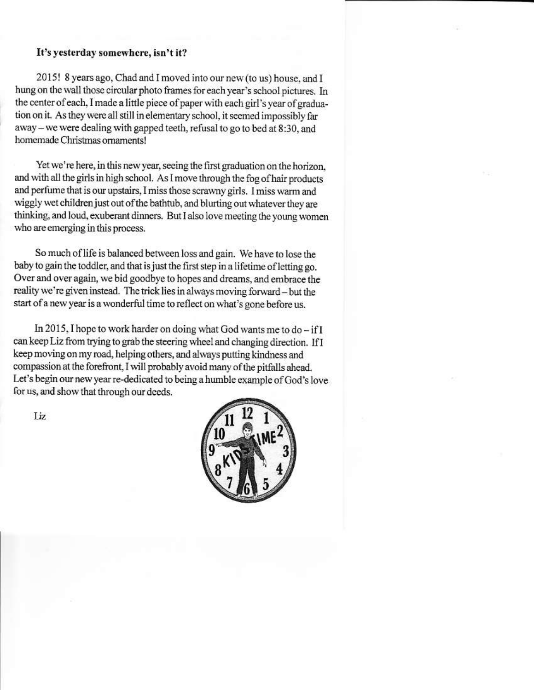#### It's yesterday somewhere, isn't it?

2015! 8 years ago, Chad and I moved into our new (to us) house, and I hung on the wall those circular photo frames for each year's school pictures. In the center of each, I made a little piece of paper with each girl's year of graduation on it. As they were all still in elementary school, it seemed impossibly far away - we were dealing with gapped teeth, refusal to go to bed at 8:30, and homemade Christmas ornaments!

Yet we're here, in this new year, seeing the first graduation on the horizon. and with all the girls in high school. As I move through the fog of hair products and perfume that is our upstairs, I miss those scrawny girls. I miss warm and wiggly wet children just out of the bathtub, and blurting out whatever they are thinking, and loud, exuberant dinners. But I also love meeting the young women who are emerging in this process.

So much of life is balanced between loss and gain. We have to lose the baby to gain the toddler, and that is just the first step in a lifetime of letting go. Over and over again, we bid goodbye to hopes and dreams, and embrace the reality we're given instead. The trick lies in always moving forward - but the start of a new year is a wonderful time to reflect on what's gone before us.

In 2015, I hope to work harder on doing what God wants me to  $do - if I$ can keep Liz from trying to grab the steering wheel and changing direction. If I keep moving on my road, helping others, and always putting kindness and compassion at the forefront, I will probably avoid many of the pitfalls ahead. Let's begin our new year re-dedicated to being a humble example of God's love for us, and show that through our deeds.



Liz.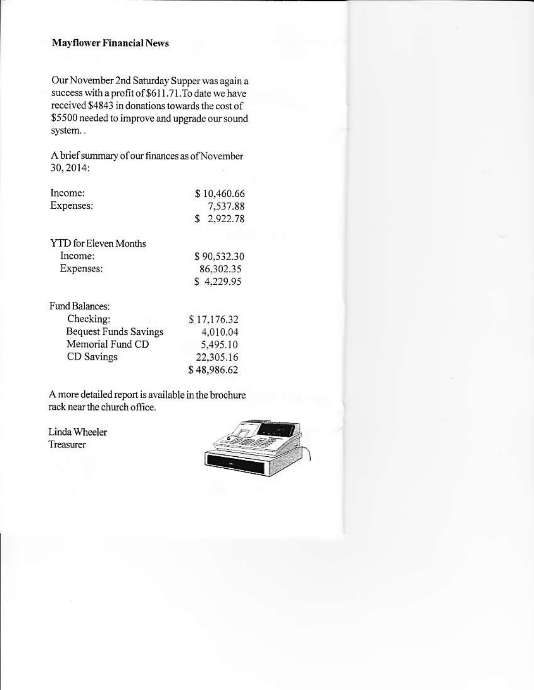#### **Mayflower Financial News**

Our November 2nd Saturday Supper was again a success with a profit of \$611.71. To date we have received \$4843 in donations towards the cost of \$5500 needed to improve and upgrade our sound system..

A brief summary of our finances as of November 30, 2014:

| Income:   | \$10,460.66 |
|-----------|-------------|
| Expenses: | 7,537.88    |
|           | \$2,922.78  |

| Y TD for Eleven Months |             |
|------------------------|-------------|
| Income:                | \$90,532.30 |
| Expenses:              | 86,302.35   |
|                        | \$422995    |

| Fund Balances:               |             |
|------------------------------|-------------|
| Checking:                    | \$17,176.32 |
| <b>Bequest Funds Savings</b> | 4,010.04    |
| Memorial Fund CD             | 5,495.10    |
| CD Savings                   | 22,305.16   |
|                              | \$48,986.62 |

A more detailed report is available in the brochure rack near the church office.

Linda Wheeler Treasurer

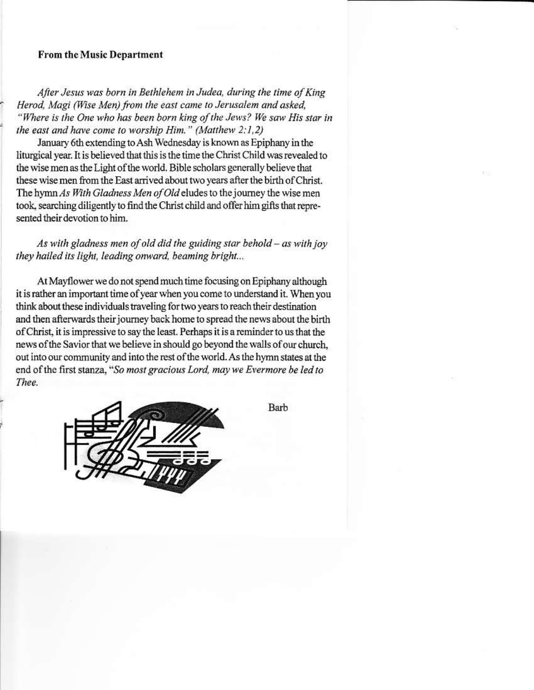#### **From the Music Department**

After Jesus was born in Bethlehem in Judea, during the time of King Herod, Magi (Wise Men) from the east came to Jerusalem and asked, "Where is the One who has been born king of the Jews? We saw His star in the east and have come to worship Him." (Matthew  $2:1,2$ )

January 6th extending to Ash Wednesday is known as Epiphany in the liturgical year. It is believed that this is the time the Christ Child was revealed to the wise men as the Light of the world. Bible scholars generally believe that these wise men from the East arrived about two years after the birth of Christ. The hymn As With Gladness Men of Old eludes to the journey the wise men took, searching diligently to find the Christ child and offer him gifts that represented their devotion to him.

As with gladness men of old did the guiding star behold  $-$  as with joy they hailed its light, leading onward, beaming bright...

At Mayflower we do not spend much time focusing on Epiphany although it is rather an important time of year when you come to understand it. When you think about these individuals traveling for two years to reach their destination and then afterwards their journey back home to spread the news about the birth of Christ, it is impressive to say the least. Perhaps it is a reminder to us that the news of the Savior that we believe in should go beyond the walls of our church, out into our community and into the rest of the world. As the hymn states at the end of the first stanza, "So most gracious Lord, may we Evermore be led to Thee.



Barb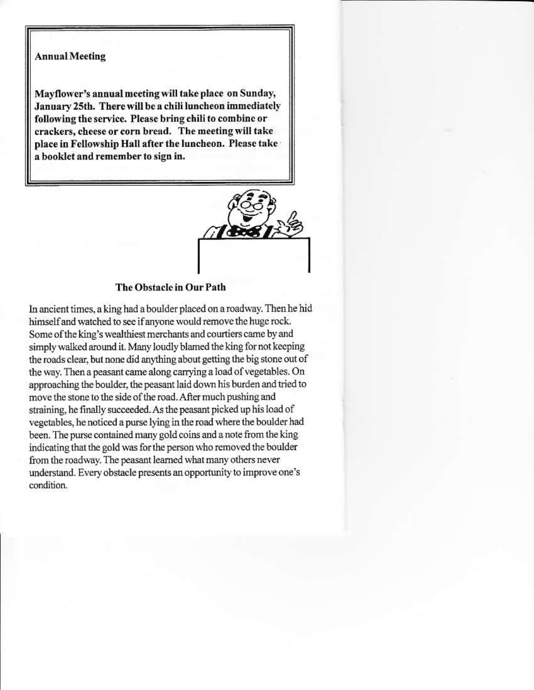#### **Annual Meeting**

Mavflower's annual meeting will take place on Sunday, January 25th. There will be a chili luncheon immediately following the service. Please bring chili to combine or crackers, cheese or corn bread. The meeting will take place in Fellowship Hall after the luncheon. Please take a booklet and remember to sign in.



#### The Obstacle in Our Path

In ancient times, a king had a boulder placed on a roadway. Then he hid himself and watched to see if anyone would remove the huge rock. Some of the king's wealthiest merchants and courtiers came by and simply walked around it. Many loudly blamed the king for not keeping the roads clear, but none did anything about getting the big stone out of the way. Then a peasant came along carrying a load of vegetables. On approaching the boulder, the peasant laid down his burden and tried to move the stone to the side of the road. After much pushing and straining, he finally succeeded. As the peasant picked up his load of vegetables, he noticed a purse lying in the road where the boulder had been. The purse contained many gold coins and a note from the king indicating that the gold was for the person who removed the boulder from the roadway. The peasant learned what many others never understand. Every obstacle presents an opportunity to improve one's condition.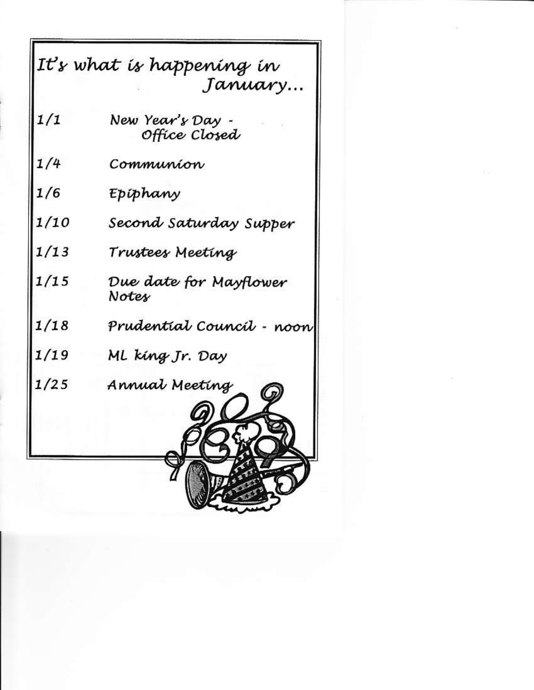|      | It's what is happening in<br>January |
|------|--------------------------------------|
| 1/1  | New Year's Day -<br>Office Closed    |
| 1/4  | Communion                            |
| 1/6  | Epiphany                             |
| 1/10 | Second Saturday Supper               |
| 1/13 | Trustees Meeting                     |
| 1/15 | Due date for Mayflower<br>Notes      |
| 1/18 | Prudentiał Council - noon            |
| 1/19 | ML kíng Jr. Day                      |
| 1/25 | Annual Meeting                       |
|      |                                      |

 $\overline{\phantom{a}}$